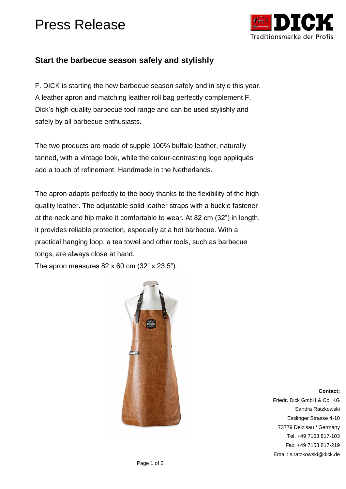## Press Release



## **Start the barbecue season safely and stylishly**

F. DICK is starting the new barbecue season safely and in style this year. A leather apron and matching leather roll bag perfectly complement F. Dick's high-quality barbecue tool range and can be used stylishly and safely by all barbecue enthusiasts.

The two products are made of supple 100% buffalo leather, naturally tanned, with a vintage look, while the colour-contrasting logo appliqués add a touch of refinement. Handmade in the Netherlands.

The apron adapts perfectly to the body thanks to the flexibility of the highquality leather. The adjustable solid leather straps with a buckle fastener at the neck and hip make it comfortable to wear. At 82 cm (32") in length, it provides reliable protection, especially at a hot barbecue. With a practical hanging loop, a tea towel and other tools, such as barbecue tongs, are always close at hand.

The apron measures  $82 \times 60$  cm  $(32" \times 23.5")$ .



**Contact:** Friedr. Dick GmbH & Co. KG Sandra Ratzkowski Esslinger Strasse 4-10 73779 Deizisau / Germany Tel. +49 7153 817-103 Fax: +49 7153 817-219 Email: s.ratzkowski@dick.de